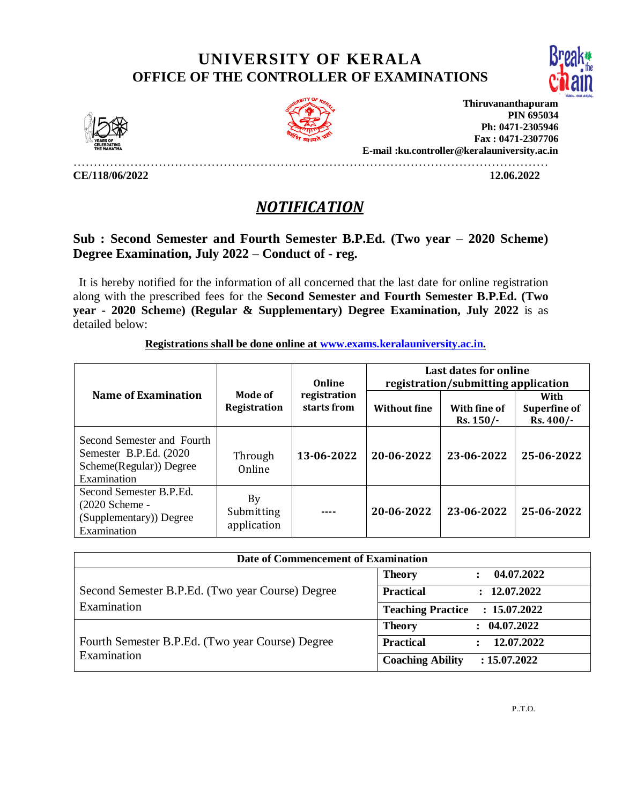## **UNIVERSITY OF KERALA OFFICE OF THE CONTROLLER OF EXAMINATIONS**







**Thiruvananthapuram PIN 695034 Ph: 0471-2305946 Fax : 0471-2307706 E-mail :ku.controller@keralauniversity.ac.in**

**CE/118/06/2022 12.06.2022** 

………………………………………………………………………………………………………

## *NOTIFICATION*

## **Sub : Second Semester and Fourth Semester B.P.Ed. (Two year – 2020 Scheme) Degree Examination, July 2022 – Conduct of - reg.**

 It is hereby notified for the information of all concerned that the last date for online registration along with the prescribed fees for the **Second Semester and Fourth Semester B.P.Ed. (Two year - 2020 Schem**e**) (Regular & Supplementary) Degree Examination, July 2022** is as detailed below:

|  | Registrations shall be done online at www.exams.keralauniversity.ac.in. |  |
|--|-------------------------------------------------------------------------|--|
|--|-------------------------------------------------------------------------|--|

| Online<br><b>Name of Examination</b><br>Mode of<br>registration<br>starts from<br>Registration  |                                 |                     | Last dates for online<br>registration/submitting application |                                          |            |
|-------------------------------------------------------------------------------------------------|---------------------------------|---------------------|--------------------------------------------------------------|------------------------------------------|------------|
|                                                                                                 |                                 | <b>Without fine</b> | With fine of<br>Rs. 150/                                     | With<br><b>Superfine of</b><br>Rs. 400/- |            |
| Second Semester and Fourth<br>Semester B.P.Ed. (2020)<br>Scheme(Regular)) Degree<br>Examination | Through<br>Online               | 13-06-2022          | 20-06-2022                                                   | 23-06-2022                               | 25-06-2022 |
| Second Semester B.P.Ed.<br>$(2020$ Scheme -<br>(Supplementary)) Degree<br>Examination           | By<br>Submitting<br>application |                     | 20-06-2022                                                   | 23-06-2022                               | 25-06-2022 |

| Date of Commencement of Examination                             |                                          |  |  |  |
|-----------------------------------------------------------------|------------------------------------------|--|--|--|
|                                                                 | 04.07.2022<br><b>Theory</b>              |  |  |  |
| Second Semester B.P.Ed. (Two year Course) Degree                | <b>Practical</b><br>: 12.07.2022         |  |  |  |
| Examination                                                     | <b>Teaching Practice</b><br>: 15.07.2022 |  |  |  |
| Fourth Semester B.P.Ed. (Two year Course) Degree<br>Examination | : 04.07.2022<br><b>Theory</b>            |  |  |  |
|                                                                 | <b>Practical</b><br>12.07.2022           |  |  |  |
|                                                                 | <b>Coaching Ability</b><br>: 15.07.2022  |  |  |  |